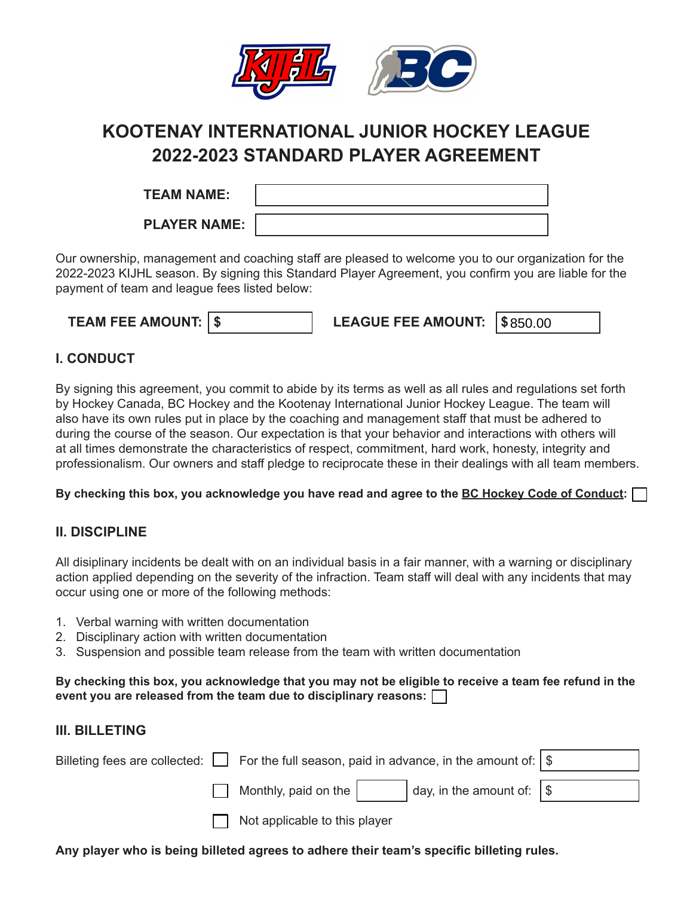

# **KOOTENAY INTERNATIONAL JUNIOR HOCKEY LEAGUE 2022-2023 STANDARD PLAYER AGREEMENT**

**TEAM NAME:**

**PLAYER NAME:**

Our ownership, management and coaching staff are pleased to welcome you to our organization for the 2022-2023 KIJHL season. By signing this Standard Player Agreement, you confirm you are liable for the payment of team and league fees listed below:

| <b>TEAM FEE AMOUNT:   \$</b> |  | LEAGUE FEE AMOUNT: $\frac{1}{2}$ \$850.00 |  |  |
|------------------------------|--|-------------------------------------------|--|--|
|------------------------------|--|-------------------------------------------|--|--|

## **I. CONDUCT**

By signing this agreement, you commit to abide by its terms as well as all rules and regulations set forth by Hockey Canada, BC Hockey and the Kootenay International Junior Hockey League. The team will also have its own rules put in place by the coaching and management staff that must be adhered to during the course of the season. Our expectation is that your behavior and interactions with others will at all times demonstrate the characteristics of respect, commitment, hard work, honesty, integrity and professionalism. Our owners and staff pledge to reciprocate these in their dealings with all team members.

**By checking this box, you acknowledge you have read and agree to the BC Hockey Code of Conduct:**

# **II. DISCIPLINE**

All disiplinary incidents be dealt with on an individual basis in a fair manner, with a warning or disciplinary action applied depending on the severity of the infraction. Team staff will deal with any incidents that may occur using one or more of the following methods:

- 1. Verbal warning with written documentation
- 2. Disciplinary action with written documentation
- 3. Suspension and possible team release from the team with written documentation

#### **By checking this box, you acknowledge that you may not be eligible to receive a team fee refund in the event you are released from the team due to disciplinary reasons:**

# **III. BILLETING**

|                               | Billeting fees are collected: $\Box$ For the full season, paid in advance, in the amount of: $ \$ |  |  |
|-------------------------------|---------------------------------------------------------------------------------------------------|--|--|
| Monthly, paid on the $\vert$  | $\vert$ day, in the amount of: $\vert \$                                                          |  |  |
| Not applicable to this player |                                                                                                   |  |  |

**Any player who is being billeted agrees to adhere their team's specific billeting rules.**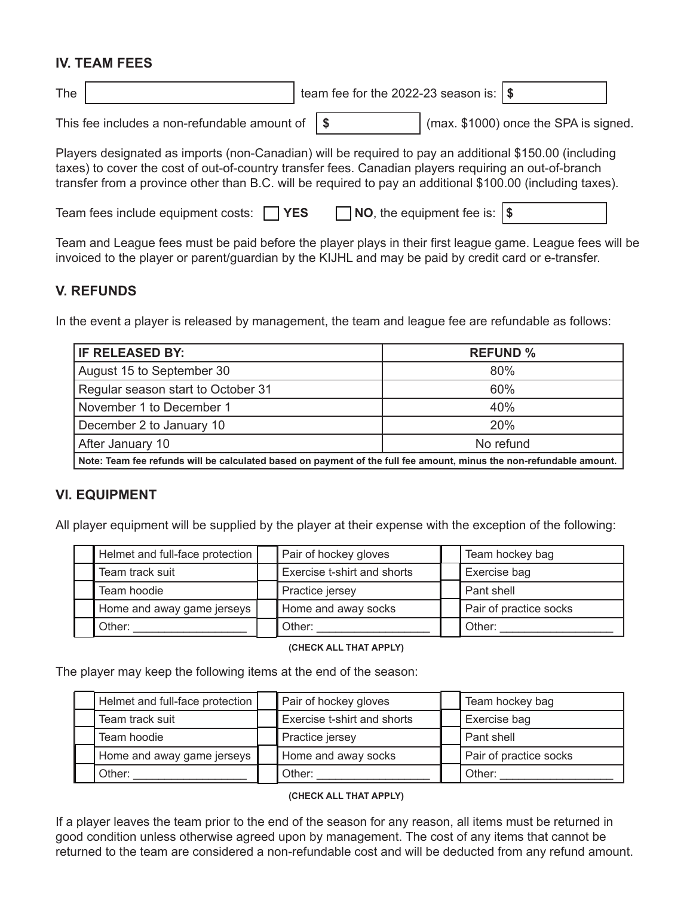## **IV. TEAM FEES**

| The |  | team fee for the 2022-23 season is: $\sqrt{s}$ |  |  |
|-----|--|------------------------------------------------|--|--|
|-----|--|------------------------------------------------|--|--|

This fee includes a non-refundable amount of  $\parallel$  \$  $\parallel$  (max. \$1000) once the SPA is signed.

Players designated as imports (non-Canadian) will be required to pay an additional \$150.00 (including taxes) to cover the cost of out-of-country transfer fees. Canadian players requiring an out-of-branch transfer from a province other than B.C. will be required to pay an additional \$100.00 (including taxes).

| Team fees include equipment costs: $\Box$ YES |  | $\Box$ NO, the equipment fee is: $\$\$ |  |
|-----------------------------------------------|--|----------------------------------------|--|
|-----------------------------------------------|--|----------------------------------------|--|

Team and League fees must be paid before the player plays in their first league game. League fees will be invoiced to the player or parent/guardian by the KIJHL and may be paid by credit card or e-transfer.

#### **V. REFUNDS**

In the event a player is released by management, the team and league fee are refundable as follows:

| IF RELEASED BY:                                                                                                     | <b>REFUND %</b> |  |
|---------------------------------------------------------------------------------------------------------------------|-----------------|--|
| August 15 to September 30                                                                                           | 80%             |  |
| Regular season start to October 31                                                                                  | 60%             |  |
| November 1 to December 1                                                                                            | 40%             |  |
| December 2 to January 10                                                                                            | 20%             |  |
| After January 10                                                                                                    | No refund       |  |
| Note: Team fee refunds will be calculated based on payment of the full fee amount, minus the non-refundable amount. |                 |  |

### **VI. EQUIPMENT**

All player equipment will be supplied by the player at their expense with the exception of the following:

| Helmet and full-face protection | Pair of hockey gloves       | Team hockey bag        |
|---------------------------------|-----------------------------|------------------------|
| Team track suit                 | Exercise t-shirt and shorts | Exercise bag           |
| Team hoodie                     | Practice jersey             | Pant shell             |
| Home and away game jerseys      | Home and away socks         | Pair of practice socks |
| Other:                          | . Other:                    | Other:                 |

#### **(CHECK ALL THAT APPLY)**

The player may keep the following items at the end of the season:

| Helmet and full-face protection | Pair of hockey gloves              | Team hockey bag        |
|---------------------------------|------------------------------------|------------------------|
| Team track suit                 | <b>Exercise t-shirt and shorts</b> | Exercise bag           |
| Team hoodie                     | Practice jersey                    | Pant shell             |
| Home and away game jerseys      | Home and away socks                | Pair of practice socks |
| Other:                          | Other:                             | Other:                 |

#### **(CHECK ALL THAT APPLY)**

If a player leaves the team prior to the end of the season for any reason, all items must be returned in good condition unless otherwise agreed upon by management. The cost of any items that cannot be returned to the team are considered a non-refundable cost and will be deducted from any refund amount.